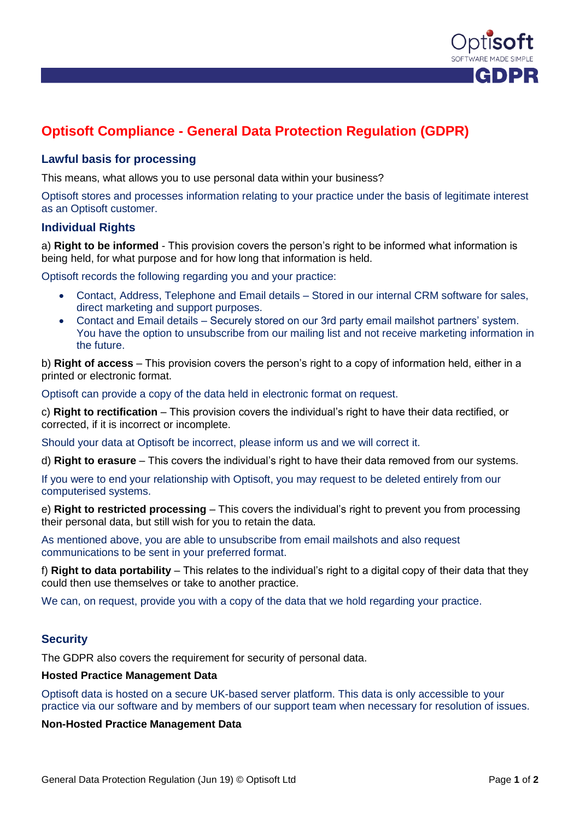

# **Optisoft Compliance - General Data Protection Regulation (GDPR)**

# **Lawful basis for processing**

This means, what allows you to use personal data within your business?

Optisoft stores and processes information relating to your practice under the basis of legitimate interest as an Optisoft customer.

# **Individual Rights**

a) **Right to be informed** - This provision covers the person's right to be informed what information is being held, for what purpose and for how long that information is held.

Optisoft records the following regarding you and your practice:

- Contact, Address, Telephone and Email details Stored in our internal CRM software for sales, direct marketing and support purposes.
- Contact and Email details Securely stored on our 3rd party email mailshot partners' system. You have the option to unsubscribe from our mailing list and not receive marketing information in the future.

b) **Right of access** – This provision covers the person's right to a copy of information held, either in a printed or electronic format.

Optisoft can provide a copy of the data held in electronic format on request.

c) **Right to rectification** – This provision covers the individual's right to have their data rectified, or corrected, if it is incorrect or incomplete.

Should your data at Optisoft be incorrect, please inform us and we will correct it.

d) **Right to erasure** – This covers the individual's right to have their data removed from our systems.

If you were to end your relationship with Optisoft, you may request to be deleted entirely from our computerised systems.

e) **Right to restricted processing** – This covers the individual's right to prevent you from processing their personal data, but still wish for you to retain the data.

As mentioned above, you are able to unsubscribe from email mailshots and also request communications to be sent in your preferred format.

f) **Right to data portability** – This relates to the individual's right to a digital copy of their data that they could then use themselves or take to another practice.

We can, on request, provide you with a copy of the data that we hold regarding your practice.

# **Security**

The GDPR also covers the requirement for security of personal data.

#### **Hosted Practice Management Data**

Optisoft data is hosted on a secure UK-based server platform. This data is only accessible to your practice via our software and by members of our support team when necessary for resolution of issues.

#### **Non-Hosted Practice Management Data**